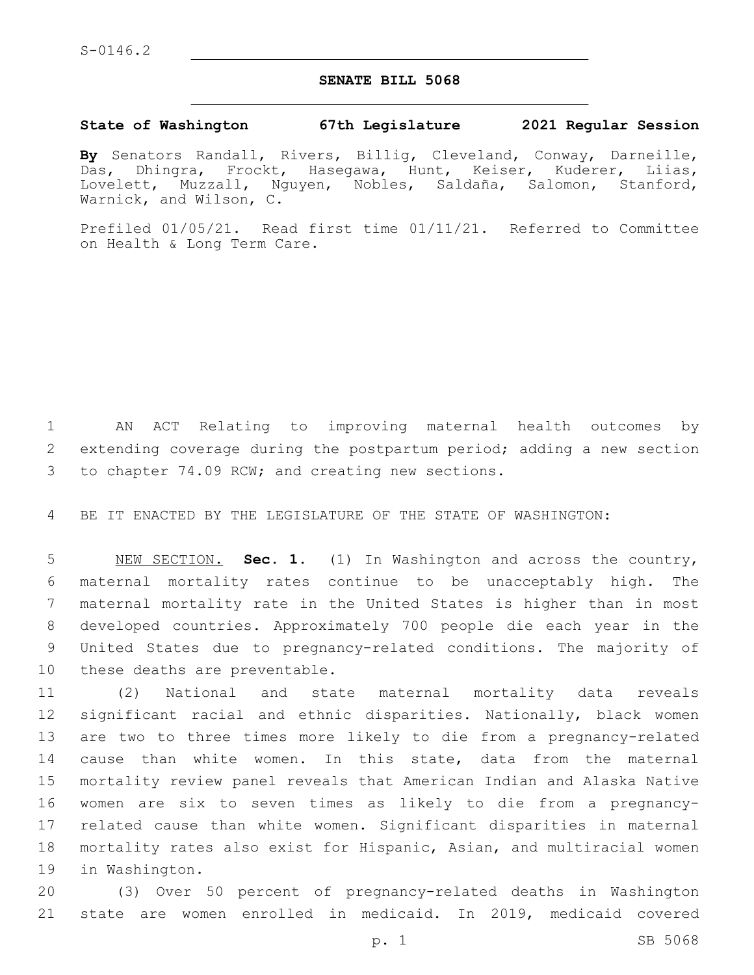## **SENATE BILL 5068**

## **State of Washington 67th Legislature 2021 Regular Session**

**By** Senators Randall, Rivers, Billig, Cleveland, Conway, Darneille, Das, Dhingra, Frockt, Hasegawa, Hunt, Keiser, Kuderer, Liias, Lovelett, Muzzall, Nguyen, Nobles, Saldaña, Salomon, Stanford, Warnick, and Wilson, C.

Prefiled 01/05/21. Read first time 01/11/21. Referred to Committee on Health & Long Term Care.

 AN ACT Relating to improving maternal health outcomes by extending coverage during the postpartum period; adding a new section 3 to chapter 74.09 RCW; and creating new sections.

BE IT ENACTED BY THE LEGISLATURE OF THE STATE OF WASHINGTON:

 NEW SECTION. **Sec. 1.** (1) In Washington and across the country, maternal mortality rates continue to be unacceptably high. The maternal mortality rate in the United States is higher than in most developed countries. Approximately 700 people die each year in the United States due to pregnancy-related conditions. The majority of these deaths are preventable.

 (2) National and state maternal mortality data reveals significant racial and ethnic disparities. Nationally, black women are two to three times more likely to die from a pregnancy-related cause than white women. In this state, data from the maternal mortality review panel reveals that American Indian and Alaska Native women are six to seven times as likely to die from a pregnancy- related cause than white women. Significant disparities in maternal mortality rates also exist for Hispanic, Asian, and multiracial women 19 in Washington.

 (3) Over 50 percent of pregnancy-related deaths in Washington state are women enrolled in medicaid. In 2019, medicaid covered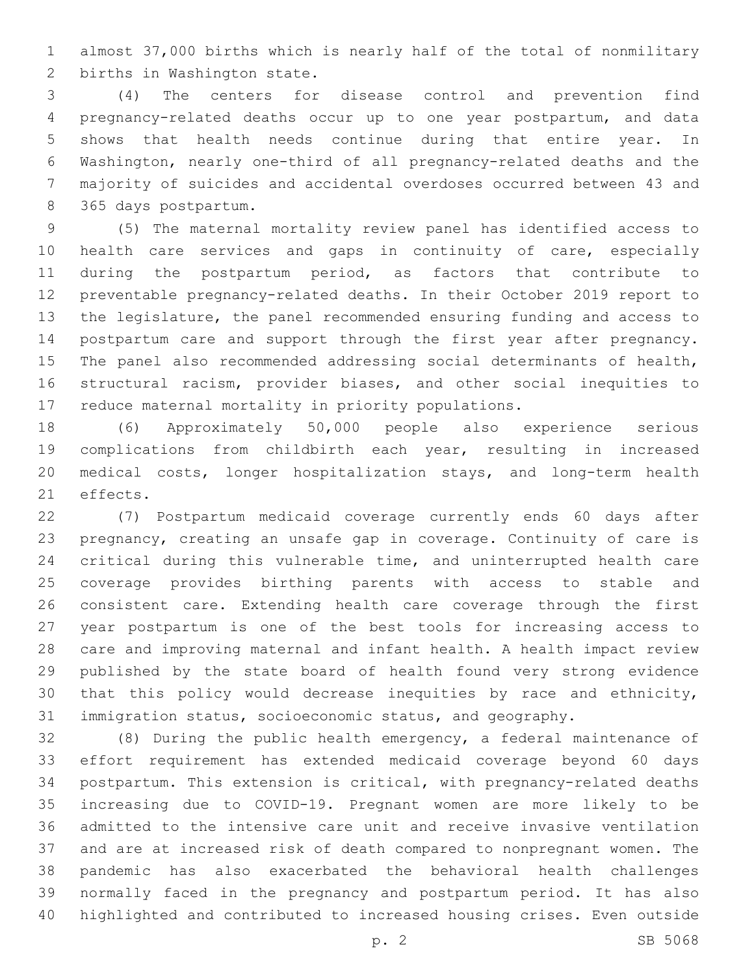almost 37,000 births which is nearly half of the total of nonmilitary 2 births in Washington state.

 (4) The centers for disease control and prevention find pregnancy-related deaths occur up to one year postpartum, and data shows that health needs continue during that entire year. In Washington, nearly one-third of all pregnancy-related deaths and the majority of suicides and accidental overdoses occurred between 43 and 365 days postpartum.8

 (5) The maternal mortality review panel has identified access to health care services and gaps in continuity of care, especially during the postpartum period, as factors that contribute to preventable pregnancy-related deaths. In their October 2019 report to the legislature, the panel recommended ensuring funding and access to postpartum care and support through the first year after pregnancy. The panel also recommended addressing social determinants of health, structural racism, provider biases, and other social inequities to reduce maternal mortality in priority populations.

 (6) Approximately 50,000 people also experience serious complications from childbirth each year, resulting in increased medical costs, longer hospitalization stays, and long-term health 21 effects.

 (7) Postpartum medicaid coverage currently ends 60 days after pregnancy, creating an unsafe gap in coverage. Continuity of care is critical during this vulnerable time, and uninterrupted health care coverage provides birthing parents with access to stable and consistent care. Extending health care coverage through the first year postpartum is one of the best tools for increasing access to care and improving maternal and infant health. A health impact review published by the state board of health found very strong evidence that this policy would decrease inequities by race and ethnicity, immigration status, socioeconomic status, and geography.

 (8) During the public health emergency, a federal maintenance of effort requirement has extended medicaid coverage beyond 60 days postpartum. This extension is critical, with pregnancy-related deaths increasing due to COVID-19. Pregnant women are more likely to be admitted to the intensive care unit and receive invasive ventilation and are at increased risk of death compared to nonpregnant women. The pandemic has also exacerbated the behavioral health challenges normally faced in the pregnancy and postpartum period. It has also highlighted and contributed to increased housing crises. Even outside

p. 2 SB 5068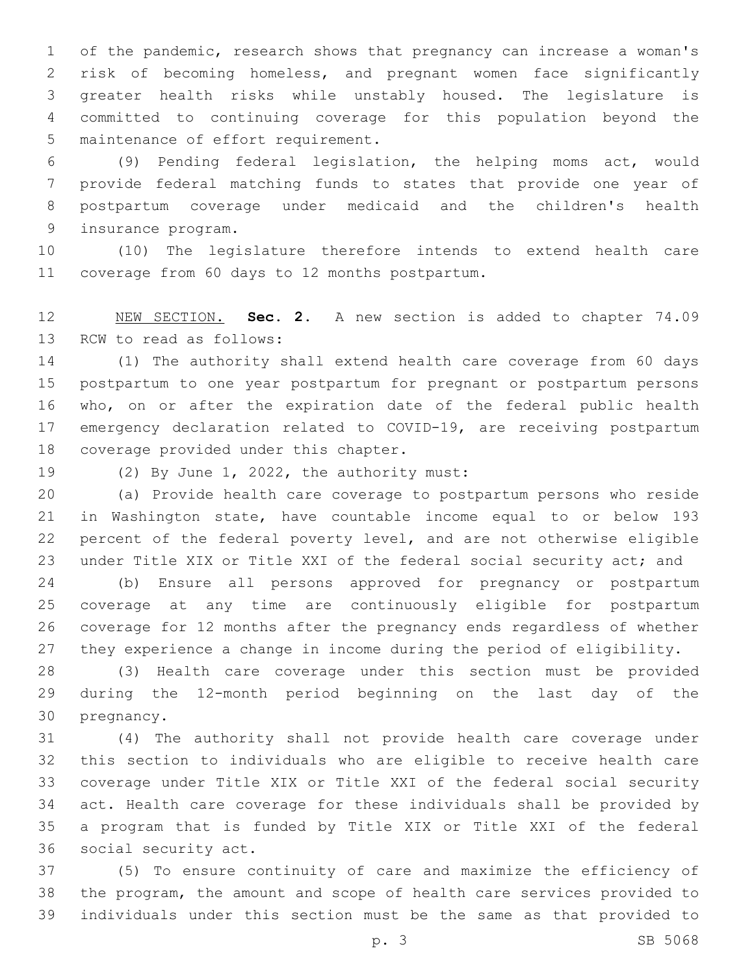of the pandemic, research shows that pregnancy can increase a woman's risk of becoming homeless, and pregnant women face significantly greater health risks while unstably housed. The legislature is committed to continuing coverage for this population beyond the 5 maintenance of effort requirement.

 (9) Pending federal legislation, the helping moms act, would provide federal matching funds to states that provide one year of postpartum coverage under medicaid and the children's health 9 insurance program.

 (10) The legislature therefore intends to extend health care 11 coverage from 60 days to 12 months postpartum.

 NEW SECTION. **Sec. 2.** A new section is added to chapter 74.09 13 RCW to read as follows:

 (1) The authority shall extend health care coverage from 60 days postpartum to one year postpartum for pregnant or postpartum persons who, on or after the expiration date of the federal public health emergency declaration related to COVID-19, are receiving postpartum 18 coverage provided under this chapter.

19 (2) By June 1, 2022, the authority must:

 (a) Provide health care coverage to postpartum persons who reside in Washington state, have countable income equal to or below 193 percent of the federal poverty level, and are not otherwise eligible under Title XIX or Title XXI of the federal social security act; and

 (b) Ensure all persons approved for pregnancy or postpartum coverage at any time are continuously eligible for postpartum coverage for 12 months after the pregnancy ends regardless of whether they experience a change in income during the period of eligibility.

 (3) Health care coverage under this section must be provided during the 12-month period beginning on the last day of the 30 pregnancy.

 (4) The authority shall not provide health care coverage under this section to individuals who are eligible to receive health care coverage under Title XIX or Title XXI of the federal social security act. Health care coverage for these individuals shall be provided by a program that is funded by Title XIX or Title XXI of the federal 36 social security act.

 (5) To ensure continuity of care and maximize the efficiency of the program, the amount and scope of health care services provided to individuals under this section must be the same as that provided to